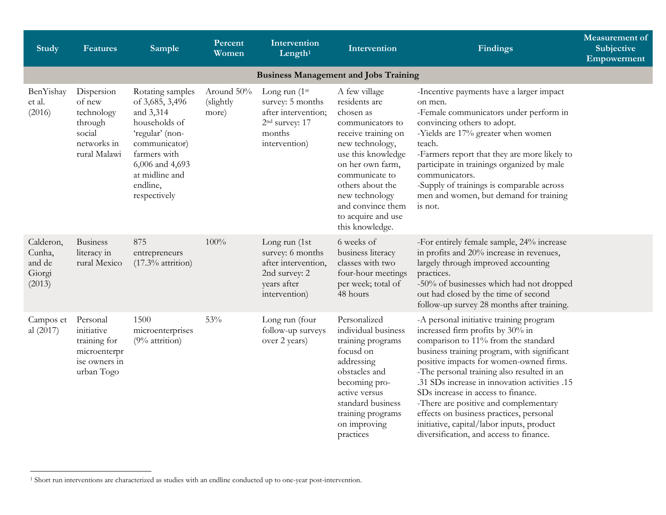<span id="page-0-0"></span>

| <b>Study</b>                                      | <b>Features</b>                                                                        | Sample                                                                                                                                                                                 | Percent<br>Women                 | Intervention<br>Length <sup>1</sup>                                                                               | Intervention                                                                                                                                                                                                                                                              | <b>Findings</b>                                                                                                                                                                                                                                                                                                                                                                                                                                                                                                               | <b>Measurement</b> of<br>Subjective<br>Empowerment |  |  |  |
|---------------------------------------------------|----------------------------------------------------------------------------------------|----------------------------------------------------------------------------------------------------------------------------------------------------------------------------------------|----------------------------------|-------------------------------------------------------------------------------------------------------------------|---------------------------------------------------------------------------------------------------------------------------------------------------------------------------------------------------------------------------------------------------------------------------|-------------------------------------------------------------------------------------------------------------------------------------------------------------------------------------------------------------------------------------------------------------------------------------------------------------------------------------------------------------------------------------------------------------------------------------------------------------------------------------------------------------------------------|----------------------------------------------------|--|--|--|
| <b>Business Management and Jobs Training</b>      |                                                                                        |                                                                                                                                                                                        |                                  |                                                                                                                   |                                                                                                                                                                                                                                                                           |                                                                                                                                                                                                                                                                                                                                                                                                                                                                                                                               |                                                    |  |  |  |
| BenYishay<br>et al.<br>(2016)                     | Dispersion<br>of new<br>technology<br>through<br>social<br>networks in<br>rural Malawi | Rotating samples<br>of 3,685, 3,496<br>and 3,314<br>households of<br>'regular' (non-<br>communicator)<br>farmers with<br>6,006 and 4,693<br>at midline and<br>endline,<br>respectively | Around 50%<br>(slightly<br>more) | Long run (1st<br>survey: 5 months<br>after intervention;<br>2 <sup>nd</sup> survey: 17<br>months<br>intervention) | A few village<br>residents are<br>chosen as<br>communicators to<br>receive training on<br>new technology,<br>use this knowledge<br>on her own farm,<br>communicate to<br>others about the<br>new technology<br>and convince them<br>to acquire and use<br>this knowledge. | -Incentive payments have a larger impact<br>on men.<br>-Female communicators under perform in<br>convincing others to adopt.<br>-Yields are 17% greater when women<br>teach.<br>-Farmers report that they are more likely to<br>participate in trainings organized by male<br>communicators.<br>-Supply of trainings is comparable across<br>men and women, but demand for training<br>is not.                                                                                                                                |                                                    |  |  |  |
| Calderon,<br>Cunha,<br>and de<br>Giorgi<br>(2013) | <b>Business</b><br>literacy in<br>rural Mexico                                         | 875<br>entrepreneurs<br>$(17.3\%$ attrition)                                                                                                                                           | 100%                             | Long run (1st<br>survey: 6 months<br>after intervention,<br>2nd survey: 2<br>years after<br>intervention)         | 6 weeks of<br>business literacy<br>classes with two<br>four-hour meetings<br>per week; total of<br>48 hours                                                                                                                                                               | -For entirely female sample, 24% increase<br>in profits and 20% increase in revenues,<br>largely through improved accounting<br>practices.<br>-50% of businesses which had not dropped<br>out had closed by the time of second<br>follow-up survey 28 months after training.                                                                                                                                                                                                                                                  |                                                    |  |  |  |
| Campos et<br>al (2017)                            | Personal<br>initiative<br>training for<br>microenterpr<br>ise owners in<br>urban Togo  | 1500<br>microenterprises<br>$(9%$ attrition)                                                                                                                                           | 53%                              | Long run (four<br>follow-up surveys<br>over 2 years)                                                              | Personalized<br>individual business<br>training programs<br>focusd on<br>addressing<br>obstacles and<br>becoming pro-<br>active versus<br>standard business<br>training programs<br>on improving<br>practices                                                             | -A personal initiative training program<br>increased firm profits by 30% in<br>comparison to 11% from the standard<br>business training program, with significant<br>positive impacts for women-owned firms.<br>-The personal training also resulted in an<br>.31 SDs increase in innovation activities .15<br>SDs increase in access to finance.<br>-There are positive and complementary<br>effects on business practices, personal<br>initiative, capital/labor inputs, product<br>diversification, and access to finance. |                                                    |  |  |  |

 $\overline{a}$ 

<sup>1</sup> Short run interventions are characterized as studies with an endline conducted up to one-year post-intervention.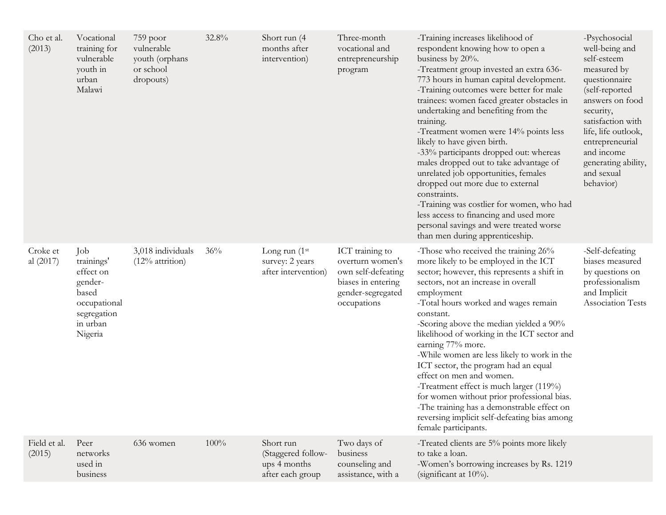| Cho et al.<br>(2013)   | Vocational<br>training for<br>vulnerable<br>youth in<br>urban<br>Malawi                                  | $759$ poor<br>vulnerable<br>youth (orphans<br>or school<br>dropouts) | 32.8% | Short run (4<br>months after<br>intervention)                       | Three-month<br>vocational and<br>entrepreneurship<br>program                                                        | -Training increases likelihood of<br>respondent knowing how to open a<br>business by 20%.<br>-Treatment group invested an extra 636-<br>773 hours in human capital development.<br>-Training outcomes were better for male<br>trainees: women faced greater obstacles in<br>undertaking and benefiting from the<br>training.<br>-Treatment women were 14% points less<br>likely to have given birth.<br>-33% participants dropped out: whereas<br>males dropped out to take advantage of<br>unrelated job opportunities, females<br>dropped out more due to external<br>constraints.<br>-Training was costlier for women, who had<br>less access to financing and used more<br>personal savings and were treated worse<br>than men during apprenticeship. | -Psychosocial<br>well-being and<br>self-esteem<br>measured by<br>questionnaire<br>(self-reported<br>answers on food<br>security,<br>satisfaction with<br>life, life outlook,<br>entrepreneurial<br>and income<br>generating ability,<br>and sexual<br>behavior) |
|------------------------|----------------------------------------------------------------------------------------------------------|----------------------------------------------------------------------|-------|---------------------------------------------------------------------|---------------------------------------------------------------------------------------------------------------------|-----------------------------------------------------------------------------------------------------------------------------------------------------------------------------------------------------------------------------------------------------------------------------------------------------------------------------------------------------------------------------------------------------------------------------------------------------------------------------------------------------------------------------------------------------------------------------------------------------------------------------------------------------------------------------------------------------------------------------------------------------------|-----------------------------------------------------------------------------------------------------------------------------------------------------------------------------------------------------------------------------------------------------------------|
| Croke et<br>al (2017)  | Job<br>trainings'<br>effect on<br>gender-<br>based<br>occupational<br>segregation<br>in urban<br>Nigeria | 3,018 individuals<br>$(12\%$ attrition)                              | 36%   | Long run $(1st)$<br>survey: 2 years<br>after intervention)          | ICT training to<br>overturn women's<br>own self-defeating<br>biases in entering<br>gender-segregated<br>occupations | -Those who received the training 26%<br>more likely to be employed in the ICT<br>sector; however, this represents a shift in<br>sectors, not an increase in overall<br>employment<br>-Total hours worked and wages remain<br>constant.<br>-Scoring above the median yielded a 90%<br>likelihood of working in the ICT sector and<br>earning 77% more.<br>-While women are less likely to work in the<br>ICT sector, the program had an equal<br>effect on men and women.<br>-Treatment effect is much larger (119%)<br>for women without prior professional bias.<br>-The training has a demonstrable effect on<br>reversing implicit self-defeating bias among<br>female participants.                                                                   | -Self-defeating<br>biases measured<br>by questions on<br>professionalism<br>and Implicit<br><b>Association Tests</b>                                                                                                                                            |
| Field et al.<br>(2015) | Peer<br>networks<br>used in<br>business                                                                  | 636 women                                                            | 100%  | Short run<br>(Staggered follow-<br>ups 4 months<br>after each group | Two days of<br>business<br>counseling and<br>assistance, with a                                                     | -Treated clients are 5% points more likely<br>to take a loan.<br>-Women's borrowing increases by Rs. 1219<br>(significant at 10%).                                                                                                                                                                                                                                                                                                                                                                                                                                                                                                                                                                                                                        |                                                                                                                                                                                                                                                                 |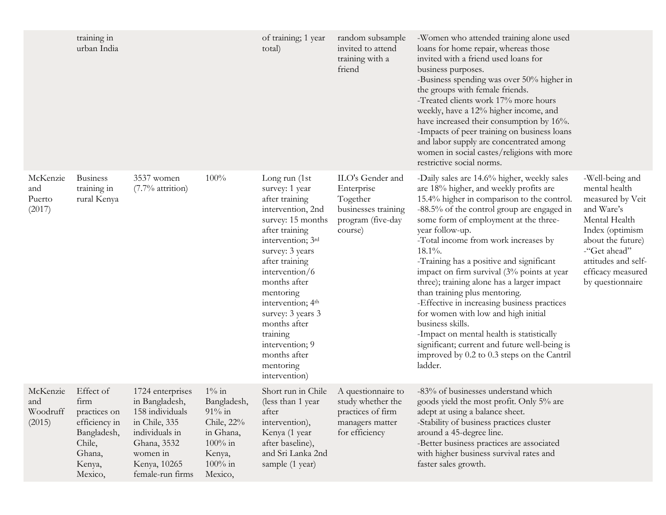|                                       | training in<br>urban India                                                                                 |                                                                                                                                                         |                                                                                                                  | of training; 1 year<br>total)                                                                                                                                                                                                                                                                                                                                             | random subsample<br>invited to attend<br>training with a<br>friend                                | -Women who attended training alone used<br>loans for home repair, whereas those<br>invited with a friend used loans for<br>business purposes.<br>-Business spending was over 50% higher in<br>the groups with female friends.<br>-Treated clients work 17% more hours<br>weekly, have a 12% higher income, and<br>have increased their consumption by 16%.<br>-Impacts of peer training on business loans<br>and labor supply are concentrated among<br>women in social castes/religions with more<br>restrictive social norms.                                                                                                                                                                                                                |                                                                                                                                                                                                             |
|---------------------------------------|------------------------------------------------------------------------------------------------------------|---------------------------------------------------------------------------------------------------------------------------------------------------------|------------------------------------------------------------------------------------------------------------------|---------------------------------------------------------------------------------------------------------------------------------------------------------------------------------------------------------------------------------------------------------------------------------------------------------------------------------------------------------------------------|---------------------------------------------------------------------------------------------------|------------------------------------------------------------------------------------------------------------------------------------------------------------------------------------------------------------------------------------------------------------------------------------------------------------------------------------------------------------------------------------------------------------------------------------------------------------------------------------------------------------------------------------------------------------------------------------------------------------------------------------------------------------------------------------------------------------------------------------------------|-------------------------------------------------------------------------------------------------------------------------------------------------------------------------------------------------------------|
| McKenzie<br>and<br>Puerto<br>(2017)   | <b>Business</b><br>training in<br>rural Kenya                                                              | 3537 women<br>(7.7% attrition)                                                                                                                          | 100%                                                                                                             | Long run (1st<br>survey: 1 year<br>after training<br>intervention, 2nd<br>survey: 15 months<br>after training<br>intervention; 3rd<br>survey: 3 years<br>after training<br>intervention/6<br>months after<br>mentoring<br>intervention; 4 <sup>th</sup><br>survey: 3 years 3<br>months after<br>training<br>intervention; 9<br>months after<br>mentoring<br>intervention) | ILO's Gender and<br>Enterprise<br>Together<br>businesses training<br>program (five-day<br>course) | -Daily sales are 14.6% higher, weekly sales<br>are 18% higher, and weekly profits are<br>15.4% higher in comparison to the control.<br>-88.5% of the control group are engaged in<br>some form of employment at the three-<br>year follow-up.<br>-Total income from work increases by<br>$18.1\%$ .<br>-Training has a positive and significant<br>impact on firm survival (3% points at year<br>three); training alone has a larger impact<br>than training plus mentoring.<br>-Effective in increasing business practices<br>for women with low and high initial<br>business skills.<br>-Impact on mental health is statistically<br>significant; current and future well-being is<br>improved by 0.2 to 0.3 steps on the Cantril<br>ladder. | -Well-being and<br>mental health<br>measured by Veit<br>and Ware's<br>Mental Health<br>Index (optimism<br>about the future)<br>-"Get ahead"<br>attitudes and self-<br>efficacy measured<br>by questionnaire |
| McKenzie<br>and<br>Woodruff<br>(2015) | Effect of<br>firm<br>practices on<br>efficiency in<br>Bangladesh,<br>Chile,<br>Ghana,<br>Kenya,<br>Mexico, | 1724 enterprises<br>in Bangladesh,<br>158 individuals<br>in Chile, 335<br>individuals in<br>Ghana, 3532<br>women in<br>Kenya, 10265<br>female-run firms | $1\%$ in<br>Bangladesh,<br>$91\%$ in<br>Chile, 22%<br>in Ghana,<br>$100\%$ in<br>Kenya,<br>$100\%$ in<br>Mexico, | Short run in Chile<br>(less than 1 year<br>after<br>intervention),<br>Kenya (1 year<br>after baseline),<br>and Sri Lanka 2nd<br>sample (1 year)                                                                                                                                                                                                                           | A questionnaire to<br>study whether the<br>practices of firm<br>managers matter<br>for efficiency | -83% of businesses understand which<br>goods yield the most profit. Only 5% are<br>adept at using a balance sheet.<br>-Stability of business practices cluster<br>around a 45-degree line.<br>-Better business practices are associated<br>with higher business survival rates and<br>faster sales growth.                                                                                                                                                                                                                                                                                                                                                                                                                                     |                                                                                                                                                                                                             |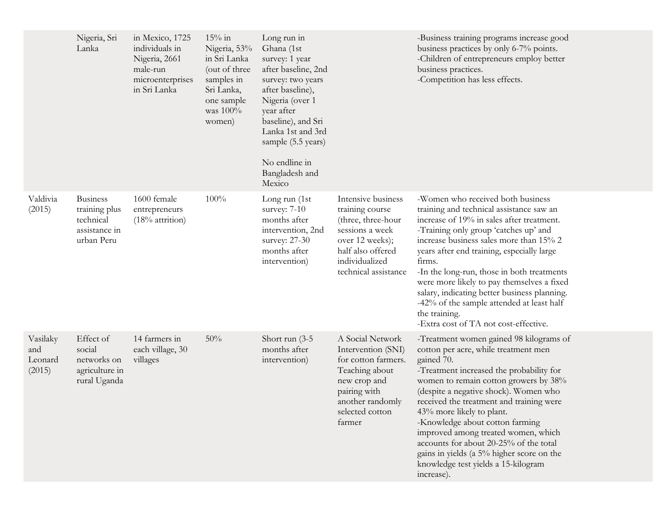|                                      | Nigeria, Sri<br>Lanka                                                        | in Mexico, 1725<br>individuals in<br>Nigeria, 2661<br>male-run<br>microenterprises<br>in Sri Lanka | $15\%$ in<br>Nigeria, 53%<br>in Sri Lanka<br>(out of three<br>samples in<br>Sri Lanka,<br>one sample<br>was $100\%$<br>women) | Long run in<br>Ghana (1st<br>survey: 1 year<br>after baseline, 2nd<br>survey: two years<br>after baseline),<br>Nigeria (over 1<br>year after<br>baseline), and Sri<br>Lanka 1st and 3rd<br>sample (5.5 years)<br>No endline in<br>Bangladesh and<br>Mexico |                                                                                                                                                                  | -Business training programs increase good<br>business practices by only 6-7% points.<br>-Children of entrepreneurs employ better<br>business practices.<br>-Competition has less effects.                                                                                                                                                                                                                                                                                                                                  |  |
|--------------------------------------|------------------------------------------------------------------------------|----------------------------------------------------------------------------------------------------|-------------------------------------------------------------------------------------------------------------------------------|------------------------------------------------------------------------------------------------------------------------------------------------------------------------------------------------------------------------------------------------------------|------------------------------------------------------------------------------------------------------------------------------------------------------------------|----------------------------------------------------------------------------------------------------------------------------------------------------------------------------------------------------------------------------------------------------------------------------------------------------------------------------------------------------------------------------------------------------------------------------------------------------------------------------------------------------------------------------|--|
| Valdivia<br>(2015)                   | <b>Business</b><br>training plus<br>technical<br>assistance in<br>urban Peru | 1600 female<br>entrepreneurs<br>$(18\%$ attrition)                                                 | 100%                                                                                                                          | Long run (1st<br>survey: 7-10<br>months after<br>intervention, 2nd<br>survey: 27-30<br>months after<br>intervention)                                                                                                                                       | Intensive business<br>training course<br>(three, three-hour<br>sessions a week<br>over 12 weeks);<br>half also offered<br>individualized<br>technical assistance | -Women who received both business<br>training and technical assistance saw an<br>increase of 19% in sales after treatment.<br>-Training only group 'catches up' and<br>increase business sales more than 15% 2<br>years after end training, especially large<br>firms.<br>-In the long-run, those in both treatments<br>were more likely to pay themselves a fixed<br>salary, indicating better business planning.<br>-42% of the sample attended at least half<br>the training.<br>-Extra cost of TA not cost-effective.  |  |
| Vasilaky<br>and<br>Leonard<br>(2015) | Effect of<br>social<br>networks on<br>agriculture in<br>rural Uganda         | 14 farmers in<br>each village, 30<br>villages                                                      | 50%                                                                                                                           | Short run $(3-5)$<br>months after<br>intervention)                                                                                                                                                                                                         | A Social Network<br>Intervention (SNI)<br>for cotton farmers.<br>Teaching about<br>new crop and<br>pairing with<br>another randomly<br>selected cotton<br>farmer | -Treatment women gained 98 kilograms of<br>cotton per acre, while treatment men<br>gained 70.<br>-Treatment increased the probability for<br>women to remain cotton growers by 38%<br>(despite a negative shock). Women who<br>received the treatment and training were<br>43% more likely to plant.<br>-Knowledge about cotton farming<br>improved among treated women, which<br>accounts for about 20-25% of the total<br>gains in yields (a 5% higher score on the<br>knowledge test yields a 15-kilogram<br>increase). |  |